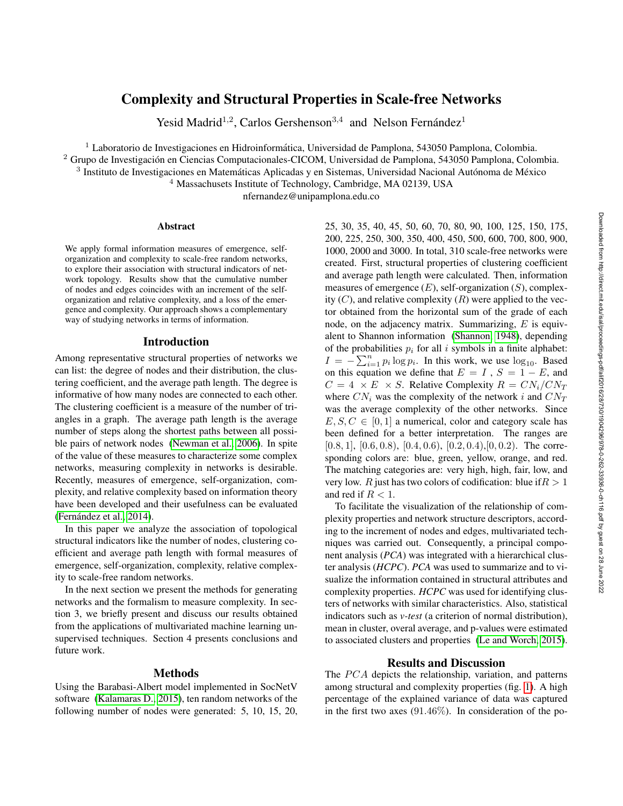# Complexity and Structural Properties in Scale-free Networks

Yesid Madrid<sup>1,2</sup>, Carlos Gershenson<sup>3,4</sup> and Nelson Fernández<sup>1</sup>

 $1$  Laboratorio de Investigaciones en Hidroinformática, Universidad de Pamplona, 543050 Pamplona, Colombia.

<sup>2</sup> Grupo de Investigación en Ciencias Computacionales-CICOM, Universidad de Pamplona, 543050 Pamplona, Colombia.

 $3$  Instituto de Investigaciones en Matemáticas Aplicadas y en Sistemas, Universidad Nacional Autónoma de México

<sup>4</sup> Massachusets Institute of Technology, Cambridge, MA 02139, USA

nfernandez@unipamplona.edu.co

#### Abstract

We apply formal information measures of emergence, selforganization and complexity to scale-free random networks, to explore their association with structural indicators of network topology. Results show that the cumulative number of nodes and edges coincides with an increment of the selforganization and relative complexity, and a loss of the emergence and complexity. Our approach shows a complementary way of studying networks in terms of information.

## Introduction

Among representative structural properties of networks we can list: the degree of nodes and their distribution, the clustering coefficient, and the average path length. The degree is informative of how many nodes are connected to each other. The clustering coefficient is a measure of the number of triangles in a graph. The average path length is the average number of steps along the shortest paths between all possible pairs of network nodes [\(Newman et al., 2006\)](#page-1-0). In spite of the value of these measures to characterize some complex networks, measuring complexity in networks is desirable. Recently, measures of emergence, self-organization, complexity, and relative complexity based on information theory have been developed and their usefulness can be evaluated (Fernández et al., 2014).

In this paper we analyze the association of topological structural indicators like the number of nodes, clustering coefficient and average path length with formal measures of emergence, self-organization, complexity, relative complexity to scale-free random networks.

In the next section we present the methods for generating networks and the formalism to measure complexity. In section 3, we briefly present and discuss our results obtained from the applications of multivariated machine learning unsupervised techniques. Section 4 presents conclusions and future work.

## Methods

Using the Barabasi-Albert model implemented in SocNetV software [\(Kalamaras D., 2015\)](#page-1-2), ten random networks of the following number of nodes were generated: 5, 10, 15, 20,

25, 30, 35, 40, 45, 50, 60, 70, 80, 90, 100, 125, 150, 175, 200, 225, 250, 300, 350, 400, 450, 500, 600, 700, 800, 900, 1000, 2000 and 3000. In total, 310 scale-free networks were created. First, structural properties of clustering coefficient and average path length were calculated. Then, information measures of emergence  $(E)$ , self-organization  $(S)$ , complexity  $(C)$ , and relative complexity  $(R)$  were applied to the vector obtained from the horizontal sum of the grade of each node, on the adjacency matrix. Summarizing,  $E$  is equivalent to Shannon information [\(Shannon, 1948\)](#page-1-3), depending of the probabilities  $p_i$  for all i symbols in a finite alphabet:  $I = -\sum_{i=1}^{n} p_i \log p_i$ . In this work, we use  $\log_{10}$ . Based on this equation we define that  $E = I$ ,  $S = 1 - E$ , and  $C = 4 \times E \times S$ . Relative Complexity  $R = CN_i/CN_T$ where  $CN_i$  was the complexity of the network i and  $CN_T$ was the average complexity of the other networks. Since  $E, S, C \in [0, 1]$  a numerical, color and category scale has been defined for a better interpretation. The ranges are  $[0.8, 1]$ ,  $[0.6, 0.8)$ ,  $[0.4, 0.6)$ ,  $[0.2, 0.4)$ ,  $[0, 0.2)$ . The corresponding colors are: blue, green, yellow, orange, and red. The matching categories are: very high, high, fair, low, and very low. R just has two colors of codification: blue if  $R > 1$ and red if  $R < 1$ .

To facilitate the visualization of the relationship of complexity properties and network structure descriptors, according to the increment of nodes and edges, multivariated techniques was carried out. Consequently, a principal component analysis (*PCA*) was integrated with a hierarchical cluster analysis (*HCPC*). *PCA* was used to summarize and to visualize the information contained in structural attributes and complexity properties. *HCPC* was used for identifying clusters of networks with similar characteristics. Also, statistical indicators such as *v-test* (a criterion of normal distribution), mean in cluster, overal average, and p-values were estimated to associated clusters and properties [\(Le and Worch, 2015\)](#page-1-4).

## Results and Discussion

The  $PCA$  depicts the relationship, variation, and patterns among structural and complexity properties (fig. [1\)](#page-1-5). A high percentage of the explained variance of data was captured in the first two axes  $(91.46\%)$ . In consideration of the po